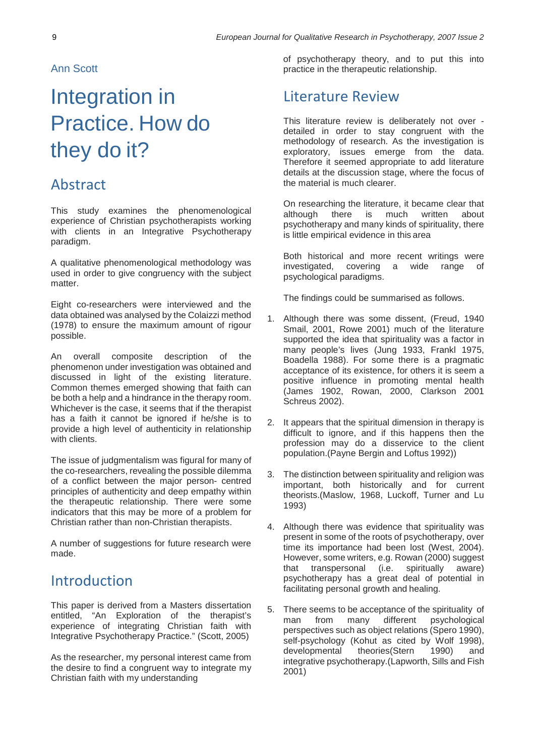Ann Scott

# Integration in Practice. How do they do it?

### Abstract

This study examines the phenomenological experience of Christian psychotherapists working with clients in an Integrative Psychotherapy paradigm.

A qualitative phenomenological methodology was used in order to give congruency with the subject matter.

Eight co-researchers were interviewed and the data obtained was analysed by the Colaizzi method (1978) to ensure the maximum amount of rigour possible.

An overall composite description of the phenomenon under investigation was obtained and discussed in light of the existing literature. Common themes emerged showing that faith can be both a help and a hindrance in the therapy room. Whichever is the case, it seems that if the therapist has a faith it cannot be ignored if he/she is to provide a high level of authenticity in relationship with clients.

The issue of judgmentalism was figural for many of the co-researchers, revealing the possible dilemma of a conflict between the major person- centred principles of authenticity and deep empathy within the therapeutic relationship. There were some indicators that this may be more of a problem for Christian rather than non-Christian therapists.

A number of suggestions for future research were made.

### Introduction

This paper is derived from a Masters dissertation entitled, "An Exploration of the therapist's experience of integrating Christian faith with Integrative Psychotherapy Practice." (Scott, 2005)

As the researcher, my personal interest came from the desire to find a congruent way to integrate my Christian faith with my understanding

of psychotherapy theory, and to put this into practice in the therapeutic relationship.

### Literature Review

This literature review is deliberately not over detailed in order to stay congruent with the methodology of research. As the investigation is exploratory, issues emerge from the data. Therefore it seemed appropriate to add literature details at the discussion stage, where the focus of the material is much clearer.

On researching the literature, it became clear that<br>although there is much written about although there is much written about psychotherapy and many kinds of spirituality, there is little empirical evidence in this area

Both historical and more recent writings were investigated, covering a wide range of psychological paradigms.

The findings could be summarised as follows.

- 1. Although there was some dissent, (Freud, 1940 Smail, 2001, Rowe 2001) much of the literature supported the idea that spirituality was a factor in many people's lives (Jung 1933, Frankl 1975, Boadella 1988). For some there is a pragmatic acceptance of its existence, for others it is seem a positive influence in promoting mental health (James 1902, Rowan, 2000, Clarkson 2001 Schreus 2002).
- 2. It appears that the spiritual dimension in therapy is difficult to ignore, and if this happens then the profession may do a disservice to the client population.(Payne Bergin and Loftus 1992))
- 3. The distinction between spirituality and religion was important, both historically and for current theorists.(Maslow, 1968, Luckoff, Turner and Lu 1993)
- 4. Although there was evidence that spirituality was present in some of the roots of psychotherapy, over time its importance had been lost (West, 2004). However, some writers, e.g. Rowan (2000) suggest that transpersonal (i.e. spiritually aware) psychotherapy has a great deal of potential in facilitating personal growth and healing.
- 5. There seems to be acceptance of the spirituality of man from many different psychological perspectives such as object relations (Spero 1990), self-psychology (Kohut as cited by Wolf 1998), developmental theories(Stern 1990) and integrative psychotherapy.(Lapworth, Sills and Fish 2001)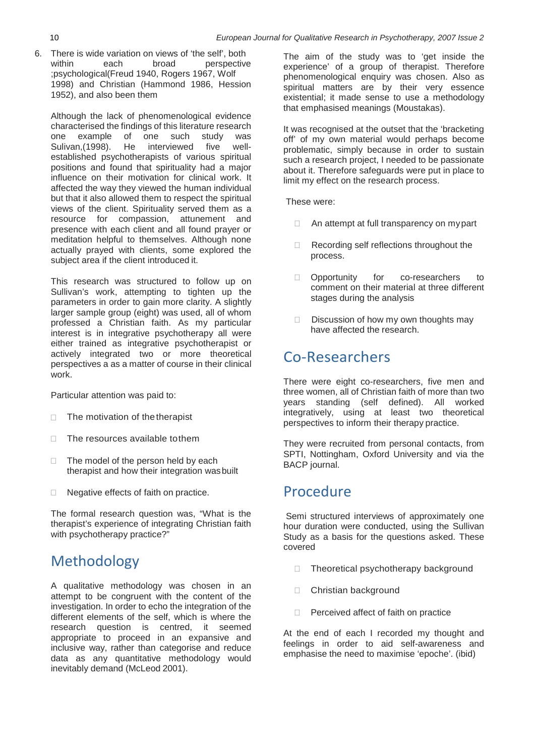6. There is wide variation on views of 'the self', both<br>within each broad perspective perspective ;psychological(Freud 1940, Rogers 1967, Wolf 1998) and Christian (Hammond 1986, Hession 1952), and also been them

Although the lack of phenomenological evidence characterised the findings of this literature research example of one such study was<br>n.(1998). He interviewed five well-Sulivan, (1998). established psychotherapists of various spiritual positions and found that spirituality had a major influence on their motivation for clinical work. It affected the way they viewed the human individual but that it also allowed them to respect the spiritual views of the client. Spirituality served them as a resource for compassion, attunement and presence with each client and all found prayer or meditation helpful to themselves. Although none actually prayed with clients, some explored the subject area if the client introduced it.

This research was structured to follow up on Sullivan's work, attempting to tighten up the parameters in order to gain more clarity. A slightly larger sample group (eight) was used, all of whom professed a Christian faith. As my particular interest is in integrative psychotherapy all were either trained as integrative psychotherapist or actively integrated two or more theoretical perspectives a as a matter of course in their clinical work.

Particular attention was paid to:

- $\Box$  The motivation of the therapist
- $\Box$  The resources available to them
- $\Box$  The model of the person held by each therapist and how their integration wasbuilt
- □ Negative effects of faith on practice.

The formal research question was, "What is the therapist's experience of integrating Christian faith with psychotherapy practice?"

# Methodology

A qualitative methodology was chosen in an attempt to be congruent with the content of the investigation. In order to echo the integration of the different elements of the self, which is where the research question is centred, it seemed appropriate to proceed in an expansive and inclusive way, rather than categorise and reduce data as any quantitative methodology would inevitably demand (McLeod 2001).

The aim of the study was to 'get inside the experience' of a group of therapist. Therefore phenomenological enquiry was chosen. Also as spiritual matters are by their very essence existential; it made sense to use a methodology that emphasised meanings (Moustakas).

It was recognised at the outset that the 'bracketing off' of my own material would perhaps become problematic, simply because in order to sustain such a research project, I needed to be passionate about it. Therefore safeguards were put in place to limit my effect on the research process.

These were:

- $\Box$  An attempt at full transparency on my part
- □ Recording self reflections throughout the process.
- D Opportunity for co-researchers to comment on their material at three different stages during the analysis
- $\square$  Discussion of how my own thoughts may have affected the research.

# Co-Researchers

There were eight co-researchers, five men and three women, all of Christian faith of more than two years standing (self defined). All worked integratively, using at least two theoretical perspectives to inform their therapy practice.

They were recruited from personal contacts, from SPTI, Nottingham, Oxford University and via the BACP journal.

# Procedure

Semi structured interviews of approximately one hour duration were conducted, using the Sullivan Study as a basis for the questions asked. These covered

- $\Box$  Theoretical psychotherapy background
- □ Christian background
- $\Box$  Perceived affect of faith on practice

At the end of each I recorded my thought and feelings in order to aid self-awareness and emphasise the need to maximise 'epoche'. (ibid)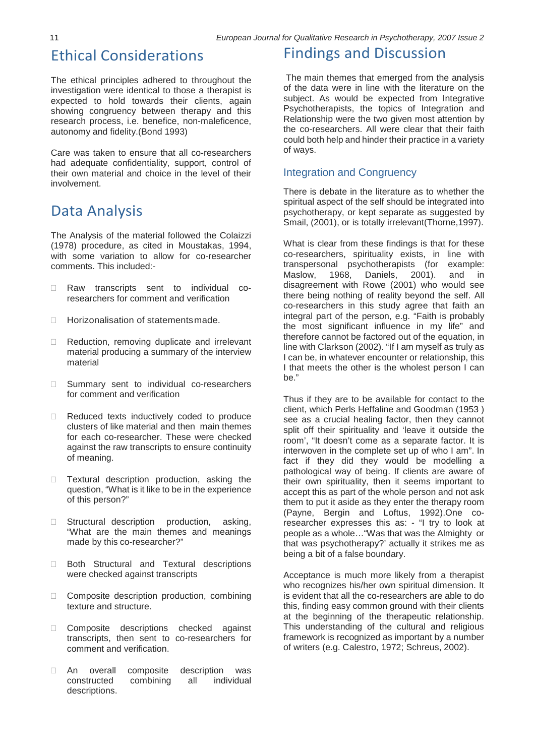### Ethical Considerations

The ethical principles adhered to throughout the investigation were identical to those a therapist is expected to hold towards their clients, again showing congruency between therapy and this research process, i.e. benefice, non-maleficence, autonomy and fidelity.(Bond 1993)

Care was taken to ensure that all co-researchers had adequate confidentiality, support, control of their own material and choice in the level of their involvement.

### Data Analysis

The Analysis of the material followed the Colaizzi (1978) procedure, as cited in Moustakas, 1994, with some variation to allow for co-researcher comments. This included:-

- □ Raw transcripts sent to individual coresearchers for comment and verification
- □ Horizonalisation of statementsmade.
- □ Reduction, removing duplicate and irrelevant material producing a summary of the interview material
- □ Summary sent to individual co-researchers for comment and verification
- Reduced texts inductively coded to produce clusters of like material and then main themes for each co-researcher. These were checked against the raw transcripts to ensure continuity of meaning.
- **Textural description production, asking the** question, "What is it like to be in the experience of this person?"
- $\Box$  Structural description production, asking, "What are the main themes and meanings made by this co-researcher?"
- □ Both Structural and Textural descriptions were checked against transcripts
- $\Box$  Composite description production, combining texture and structure.
- Composite descriptions checked against transcripts, then sent to co-researchers for comment and verification.
- An overall composite description was constructed combining all individual descriptions.

### Findings and Discussion

The main themes that emerged from the analysis of the data were in line with the literature on the subject. As would be expected from Integrative Psychotherapists, the topics of Integration and Relationship were the two given most attention by the co-researchers. All were clear that their faith could both help and hinder their practice in a variety of ways.

#### Integration and Congruency

There is debate in the literature as to whether the spiritual aspect of the self should be integrated into psychotherapy, or kept separate as suggested by Smail, (2001), or is totally irrelevant(Thorne,1997).

What is clear from these findings is that for these co-researchers, spirituality exists, in line with transpersonal psychotherapists (for example: Maslow, 1968, Daniels, 2001). and in disagreement with Rowe (2001) who would see there being nothing of reality beyond the self. All co-researchers in this study agree that faith an integral part of the person, e.g. "Faith is probably the most significant influence in my life" and therefore cannot be factored out of the equation, in line with Clarkson (2002). "If I am myself as truly as I can be, in whatever encounter or relationship, this I that meets the other is the wholest person I can be."

Thus if they are to be available for contact to the client, which Perls Heffaline and Goodman (1953 ) see as a crucial healing factor, then they cannot split off their spirituality and 'leave it outside the room', "It doesn't come as a separate factor. It is interwoven in the complete set up of who I am". In fact if they did they would be modelling a pathological way of being. If clients are aware of their own spirituality, then it seems important to accept this as part of the whole person and not ask them to put it aside as they enter the therapy room (Payne, Bergin and Loftus, 1992).One coresearcher expresses this as: - "I try to look at people as a whole…"Was that was the Almighty or that was psychotherapy?' actually it strikes me as being a bit of a false boundary.

Acceptance is much more likely from a therapist who recognizes his/her own spiritual dimension. It is evident that all the co-researchers are able to do this, finding easy common ground with their clients at the beginning of the therapeutic relationship. This understanding of the cultural and religious framework is recognized as important by a number of writers (e.g. Calestro, 1972; Schreus, 2002).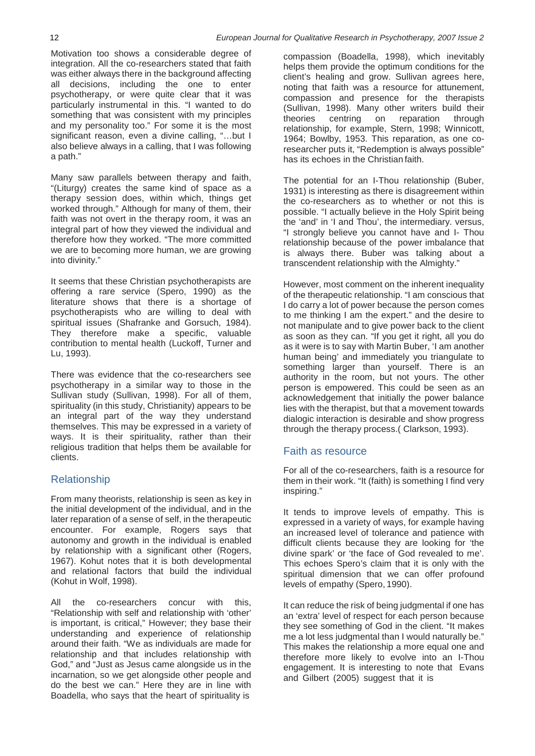Motivation too shows a considerable degree of integration. All the co-researchers stated that faith was either always there in the background affecting all decisions, including the one to enter psychotherapy, or were quite clear that it was particularly instrumental in this. "I wanted to do something that was consistent with my principles and my personality too." For some it is the most significant reason, even a divine calling, "…but I also believe always in a calling, that I was following a path."

Many saw parallels between therapy and faith, "(Liturgy) creates the same kind of space as a therapy session does, within which, things get worked through." Although for many of them, their faith was not overt in the therapy room, it was an integral part of how they viewed the individual and therefore how they worked. "The more committed we are to becoming more human, we are growing into divinity."

It seems that these Christian psychotherapists are offering a rare service (Spero, 1990) as the literature shows that there is a shortage of psychotherapists who are willing to deal with spiritual issues (Shafranke and Gorsuch, 1984). They therefore make a specific, valuable contribution to mental health (Luckoff, Turner and Lu, 1993).

There was evidence that the co-researchers see psychotherapy in a similar way to those in the Sullivan study (Sullivan, 1998). For all of them, spirituality (in this study, Christianity) appears to be an integral part of the way they understand themselves. This may be expressed in a variety of ways. It is their spirituality, rather than their religious tradition that helps them be available for clients.

#### Relationship

From many theorists, relationship is seen as key in the initial development of the individual, and in the later reparation of a sense of self, in the therapeutic encounter. For example, Rogers says that autonomy and growth in the individual is enabled by relationship with a significant other (Rogers, 1967). Kohut notes that it is both developmental and relational factors that build the individual (Kohut in Wolf, 1998).

All the co-researchers concur with this, "Relationship with self and relationship with 'other' is important, is critical," However; they base their understanding and experience of relationship around their faith. "We as individuals are made for relationship and that includes relationship with God," and "Just as Jesus came alongside us in the incarnation, so we get alongside other people and do the best we can." Here they are in line with Boadella, who says that the heart of spirituality is

compassion (Boadella, 1998), which inevitably helps them provide the optimum conditions for the client's healing and grow. Sullivan agrees here, noting that faith was a resource for attunement, compassion and presence for the therapists (Sullivan, 1998). Many other writers build their reparation relationship, for example, Stern, 1998; Winnicott, 1964; Bowlby, 1953. This reparation, as one coresearcher puts it, "Redemption is always possible" has its echoes in the Christian faith.

The potential for an I-Thou relationship (Buber, 1931) is interesting as there is disagreement within the co-researchers as to whether or not this is possible. "I actually believe in the Holy Spirit being the 'and' in 'I and Thou', the intermediary. versus, "I strongly believe you cannot have and I- Thou relationship because of the power imbalance that is always there. Buber was talking about a transcendent relationship with the Almighty."

However, most comment on the inherent inequality of the therapeutic relationship. "I am conscious that I do carry a lot of power because the person comes to me thinking I am the expert." and the desire to not manipulate and to give power back to the client as soon as they can. "If you get it right, all you do as it were is to say with Martin Buber, 'I am another human being' and immediately you triangulate to something larger than yourself. There is an authority in the room, but not yours. The other person is empowered. This could be seen as an acknowledgement that initially the power balance lies with the therapist, but that a movement towards dialogic interaction is desirable and show progress through the therapy process.( Clarkson, 1993).

#### Faith as resource

For all of the co-researchers, faith is a resource for them in their work. "It (faith) is something I find very inspiring."

It tends to improve levels of empathy. This is expressed in a variety of ways, for example having an increased level of tolerance and patience with difficult clients because they are looking for 'the divine spark' or 'the face of God revealed to me'. This echoes Spero's claim that it is only with the spiritual dimension that we can offer profound levels of empathy (Spero, 1990).

It can reduce the risk of being judgmental if one has an 'extra' level of respect for each person because they see something of God in the client. "It makes me a lot less judgmental than I would naturally be." This makes the relationship a more equal one and therefore more likely to evolve into an I-Thou engagement. It is interesting to note that Evans and Gilbert (2005) suggest that it is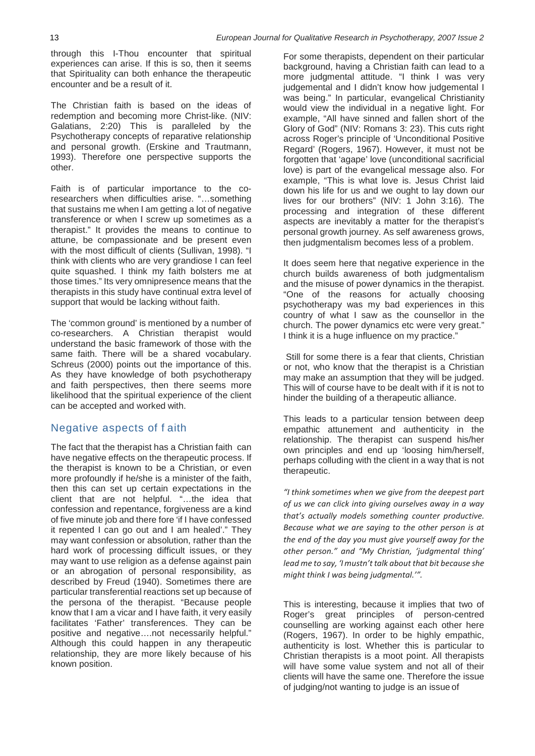through this I-Thou encounter that spiritual experiences can arise. If this is so, then it seems that Spirituality can both enhance the therapeutic encounter and be a result of it.

The Christian faith is based on the ideas of redemption and becoming more Christ-like. (NIV: Galatians, 2:20) This is paralleled by the Psychotherapy concepts of reparative relationship and personal growth. (Erskine and Trautmann, 1993). Therefore one perspective supports the other.

Faith is of particular importance to the coresearchers when difficulties arise. "…something that sustains me when I am getting a lot of negative transference or when I screw up sometimes as a therapist." It provides the means to continue to attune, be compassionate and be present even with the most difficult of clients (Sullivan, 1998). "I think with clients who are very grandiose I can feel quite squashed. I think my faith bolsters me at those times." Its very omnipresence means that the therapists in this study have continual extra level of support that would be lacking without faith.

The 'common ground' is mentioned by a number of co-researchers. A Christian therapist would understand the basic framework of those with the same faith. There will be a shared vocabulary. Schreus (2000) points out the importance of this. As they have knowledge of both psychotherapy and faith perspectives, then there seems more likelihood that the spiritual experience of the client can be accepted and worked with.

#### Negative aspects of f aith

The fact that the therapist has a Christian faith can have negative effects on the therapeutic process. If the therapist is known to be a Christian, or even more profoundly if he/she is a minister of the faith, then this can set up certain expectations in the client that are not helpful. "…the idea that confession and repentance, forgiveness are a kind of five minute job and there fore 'if I have confessed it repented I can go out and I am healed'." They may want confession or absolution, rather than the hard work of processing difficult issues, or they may want to use religion as a defense against pain or an abrogation of personal responsibility, as described by Freud (1940). Sometimes there are particular transferential reactions set up because of the persona of the therapist. "Because people know that I am a vicar and I have faith, it very easily facilitates 'Father' transferences. They can be positive and negative….not necessarily helpful." Although this could happen in any therapeutic relationship, they are more likely because of his known position.

For some therapists, dependent on their particular background, having a Christian faith can lead to a more judgmental attitude. "I think I was very judgemental and I didn't know how judgemental I was being." In particular, evangelical Christianity would view the individual in a negative light. For example, "All have sinned and fallen short of the Glory of God" (NIV: Romans 3: 23). This cuts right across Roger's principle of 'Unconditional Positive Regard' (Rogers, 1967). However, it must not be forgotten that 'agape' love (unconditional sacrificial love) is part of the evangelical message also. For example, "This is what love is. Jesus Christ laid down his life for us and we ought to lay down our lives for our brothers" (NIV: 1 John 3:16). The processing and integration of these different aspects are inevitably a matter for the therapist's personal growth journey. As self awareness grows, then judgmentalism becomes less of a problem.

It does seem here that negative experience in the church builds awareness of both judgmentalism and the misuse of power dynamics in the therapist. "One of the reasons for actually choosing psychotherapy was my bad experiences in this country of what I saw as the counsellor in the church. The power dynamics etc were very great." I think it is a huge influence on my practice."

Still for some there is a fear that clients, Christian or not, who know that the therapist is a Christian may make an assumption that they will be judged. This will of course have to be dealt with if it is not to hinder the building of a therapeutic alliance.

This leads to a particular tension between deep empathic attunement and authenticity in the relationship. The therapist can suspend his/her own principles and end up 'loosing him/herself, perhaps colluding with the client in a way that is not therapeutic.

*"I think sometimes when we give from the deepest part of us we can click into giving ourselves away in a way that's actually models something counter productive. Because what we are saying to the other person is at the end of the day you must give yourself away for the other person." and "My Christian, 'judgmental thing' lead me to say, 'I mustn't talk about that bit because she might think I was being judgmental.'".*

This is interesting, because it implies that two of Roger's great principles of person-centred counselling are working against each other here (Rogers, 1967). In order to be highly empathic, authenticity is lost. Whether this is particular to Christian therapists is a moot point. All therapists will have some value system and not all of their clients will have the same one. Therefore the issue of judging/not wanting to judge is an issue of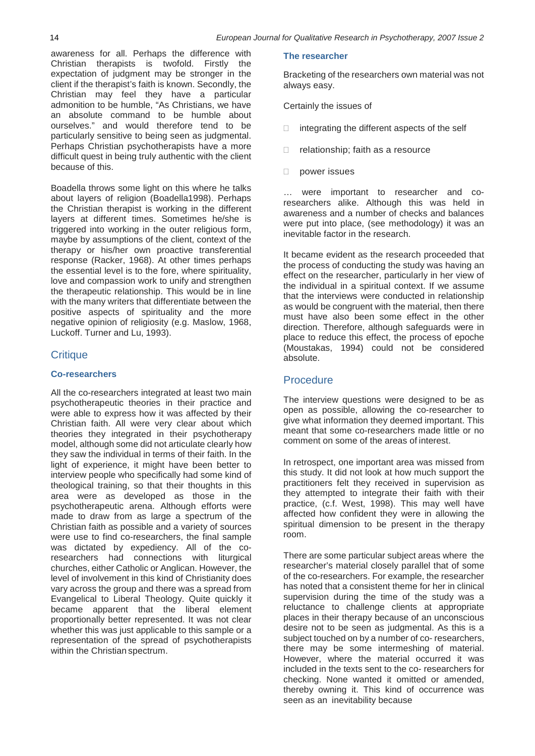awareness for all. Perhaps the difference with Christian therapists is twofold. Firstly the expectation of judgment may be stronger in the client if the therapist's faith is known. Secondly, the Christian may feel they have a particular admonition to be humble, "As Christians, we have an absolute command to be humble about ourselves." and would therefore tend to be particularly sensitive to being seen as judgmental. Perhaps Christian psychotherapists have a more difficult quest in being truly authentic with the client because of this.

Boadella throws some light on this where he talks about layers of religion (Boadella1998). Perhaps the Christian therapist is working in the different layers at different times. Sometimes he/she is triggered into working in the outer religious form, maybe by assumptions of the client, context of the therapy or his/her own proactive transferential response (Racker, 1968). At other times perhaps the essential level is to the fore, where spirituality, love and compassion work to unify and strengthen the therapeutic relationship. This would be in line with the many writers that differentiate between the positive aspects of spirituality and the more negative opinion of religiosity (e.g. Maslow, 1968, Luckoff. Turner and Lu, 1993).

#### **Critique**

#### **Co-researchers**

All the co-researchers integrated at least two main psychotherapeutic theories in their practice and were able to express how it was affected by their Christian faith. All were very clear about which theories they integrated in their psychotherapy model, although some did not articulate clearly how they saw the individual in terms of their faith. In the light of experience, it might have been better to interview people who specifically had some kind of theological training, so that their thoughts in this area were as developed as those in the psychotherapeutic arena. Although efforts were made to draw from as large a spectrum of the Christian faith as possible and a variety of sources were use to find co-researchers, the final sample was dictated by expediency. All of the coresearchers had connections with liturgical churches, either Catholic or Anglican. However, the level of involvement in this kind of Christianity does vary across the group and there was a spread from Evangelical to Liberal Theology. Quite quickly it became apparent that the liberal element proportionally better represented. It was not clear whether this was just applicable to this sample or a representation of the spread of psychotherapists within the Christian spectrum.

#### **The researcher**

Bracketing of the researchers own material was not always easy.

Certainly the issues of

- $\Box$  integrating the different aspects of the self
- $\Box$  relationship; faith as a resource
- D power issues

… were important to researcher and coresearchers alike. Although this was held in awareness and a number of checks and balances were put into place, (see methodology) it was an inevitable factor in the research.

It became evident as the research proceeded that the process of conducting the study was having an effect on the researcher, particularly in her view of the individual in a spiritual context. If we assume that the interviews were conducted in relationship as would be congruent with the material, then there must have also been some effect in the other direction. Therefore, although safeguards were in place to reduce this effect, the process of epoche (Moustakas, 1994) could not be considered absolute.

#### **Procedure**

The interview questions were designed to be as open as possible, allowing the co-researcher to give what information they deemed important. This meant that some co-researchers made little or no comment on some of the areas of interest.

In retrospect, one important area was missed from this study. It did not look at how much support the practitioners felt they received in supervision as they attempted to integrate their faith with their practice, (c.f. West, 1998). This may well have affected how confident they were in allowing the spiritual dimension to be present in the therapy room.

There are some particular subject areas where the researcher's material closely parallel that of some of the co-researchers. For example, the researcher has noted that a consistent theme for her in clinical supervision during the time of the study was a reluctance to challenge clients at appropriate places in their therapy because of an unconscious desire not to be seen as judgmental. As this is a subject touched on by a number of co- researchers, there may be some intermeshing of material. However, where the material occurred it was included in the texts sent to the co- researchers for checking. None wanted it omitted or amended, thereby owning it. This kind of occurrence was seen as an inevitability because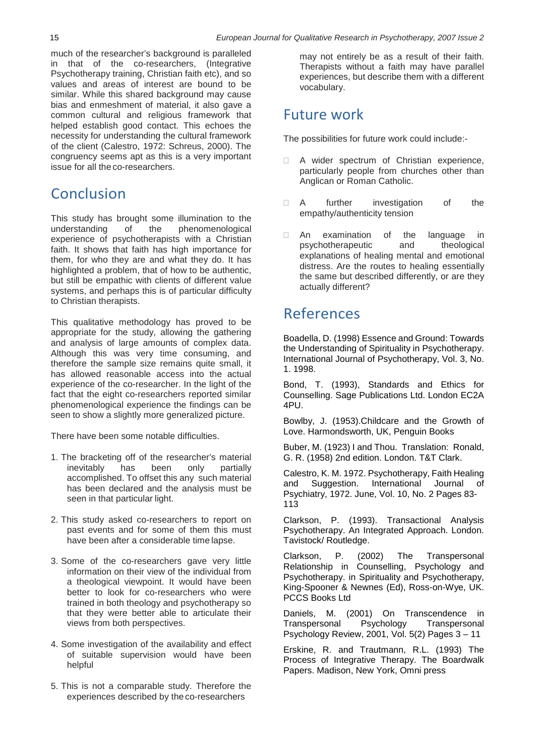much of the researcher's background is paralleled in that of the co-researchers, (Integrative Psychotherapy training, Christian faith etc), and so values and areas of interest are bound to be similar. While this shared background may cause bias and enmeshment of material, it also gave a common cultural and religious framework that helped establish good contact. This echoes the necessity for understanding the cultural framework of the client (Calestro, 1972: Schreus, 2000). The congruency seems apt as this is a very important issue for all the co-researchers.

# Conclusion

This study has brought some illumination to the understanding of the phenomenological experience of psychotherapists with a Christian faith. It shows that faith has high importance for them, for who they are and what they do. It has highlighted a problem, that of how to be authentic, but still be empathic with clients of different value systems, and perhaps this is of particular difficulty to Christian therapists.

This qualitative methodology has proved to be appropriate for the study, allowing the gathering and analysis of large amounts of complex data. Although this was very time consuming, and therefore the sample size remains quite small, it has allowed reasonable access into the actual experience of the co-researcher. In the light of the fact that the eight co-researchers reported similar phenomenological experience the findings can be seen to show a slightly more generalized picture.

There have been some notable difficulties.

- 1. The bracketing off of the researcher's material<br>inevitably has been only partially inevitably has accomplished. To offset this any such material has been declared and the analysis must be seen in that particular light.
- 2. This study asked co-researchers to report on past events and for some of them this must have been after a considerable time lapse.
- 3. Some of the co-researchers gave very little information on their view of the individual from a theological viewpoint. It would have been better to look for co-researchers who were trained in both theology and psychotherapy so that they were better able to articulate their views from both perspectives.
- 4. Some investigation of the availability and effect of suitable supervision would have been helpful
- 5. This is not a comparable study. Therefore the experiences described by the co-researchers

may not entirely be as a result of their faith. Therapists without a faith may have parallel experiences, but describe them with a different vocabulary.

# Future work

The possibilities for future work could include:-

- A wider spectrum of Christian experience, particularly people from churches other than Anglican or Roman Catholic.
- A further investigation of the empathy/authenticity tension
- An examination of the language in psychotherapeutic and theological explanations of healing mental and emotional distress. Are the routes to healing essentially the same but described differently, or are they actually different?

# References

Boadella, D. (1998) Essence and Ground: Towards the Understanding of Spirituality in Psychotherapy. International Journal of Psychotherapy, Vol. 3, No. 1. 1998.

Bond, T. (1993), Standards and Ethics for Counselling. Sage Publications Ltd. London EC2A 4PU.

Bowlby, J. (1953).Childcare and the Growth of Love. Harmondsworth, UK, Penguin Books

Buber, M. (1923) I and Thou. Translation: Ronald, G. R. (1958) 2nd edition. London. T&T Clark.

Calestro, K. M. 1972. Psychotherapy, Faith Healing and Suggestion. International Journal Psychiatry, 1972. June, Vol. 10, No. 2 Pages 83- 113

Clarkson, P. (1993). Transactional Analysis Psychotherapy. An Integrated Approach. London. Tavistock/ Routledge.

Clarkson, P. (2002) The Transpersonal Relationship in Counselling, Psychology and Psychotherapy. in Spirituality and Psychotherapy, King-Spooner & Newnes (Ed), Ross-on-Wye, UK. PCCS Books Ltd

Daniels, M. (2001) On Transcendence in<br>Transpersonal Psychology Transpersonal Transpersonal Psychology Review, 2001, Vol. 5(2) Pages 3 – 11

Erskine, R. and Trautmann, R.L. (1993) The Process of Integrative Therapy. The Boardwalk Papers. Madison, New York, Omni press